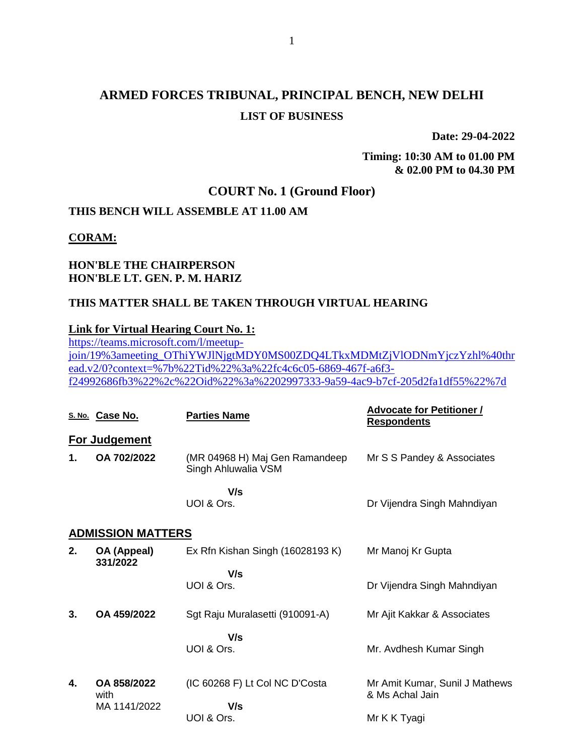# **ARMED FORCES TRIBUNAL, PRINCIPAL BENCH, NEW DELHI LIST OF BUSINESS**

**Date: 29-04-2022**

**Timing: 10:30 AM to 01.00 PM & 02.00 PM to 04.30 PM**

## **COURT No. 1 (Ground Floor)**

## **THIS BENCH WILL ASSEMBLE AT 11.00 AM**

**CORAM:**

### **HON'BLE THE CHAIRPERSON HON'BLE LT. GEN. P. M. HARIZ**

#### **THIS MATTER SHALL BE TAKEN THROUGH VIRTUAL HEARING**

#### **Link for Virtual Hearing Court No. 1:**

[https://teams.microsoft.com/l/meetup](https://teams.microsoft.com/l/meetup-join/19%3ameeting_OThiYWJlNjgtMDY0MS00ZDQ4LTkxMDMtZjVlODNmYjczYzhl%40thread.v2/0?context=%7b%22Tid%22%3a%22fc4c6c05-6869-467f-a6f3-f24992686fb3%22%2c%22Oid%22%3a%2202997333-9a59-4ac9-b7cf-205d2fa1df55%22%7d)[join/19%3ameeting\\_OThiYWJlNjgtMDY0MS00ZDQ4LTkxMDMtZjVlODNmYjczYzhl%40thr](https://teams.microsoft.com/l/meetup-join/19%3ameeting_OThiYWJlNjgtMDY0MS00ZDQ4LTkxMDMtZjVlODNmYjczYzhl%40thread.v2/0?context=%7b%22Tid%22%3a%22fc4c6c05-6869-467f-a6f3-f24992686fb3%22%2c%22Oid%22%3a%2202997333-9a59-4ac9-b7cf-205d2fa1df55%22%7d) [ead.v2/0?context=%7b%22Tid%22%3a%22fc4c6c05-6869-467f-a6f3](https://teams.microsoft.com/l/meetup-join/19%3ameeting_OThiYWJlNjgtMDY0MS00ZDQ4LTkxMDMtZjVlODNmYjczYzhl%40thread.v2/0?context=%7b%22Tid%22%3a%22fc4c6c05-6869-467f-a6f3-f24992686fb3%22%2c%22Oid%22%3a%2202997333-9a59-4ac9-b7cf-205d2fa1df55%22%7d) [f24992686fb3%22%2c%22Oid%22%3a%2202997333-9a59-4ac9-b7cf-205d2fa1df55%22%7d](https://teams.microsoft.com/l/meetup-join/19%3ameeting_OThiYWJlNjgtMDY0MS00ZDQ4LTkxMDMtZjVlODNmYjczYzhl%40thread.v2/0?context=%7b%22Tid%22%3a%22fc4c6c05-6869-467f-a6f3-f24992686fb3%22%2c%22Oid%22%3a%2202997333-9a59-4ac9-b7cf-205d2fa1df55%22%7d)

|    | S. No. Case No.          | <b>Parties Name</b>                                   | <b>Advocate for Petitioner /</b><br><b>Respondents</b> |
|----|--------------------------|-------------------------------------------------------|--------------------------------------------------------|
|    | <b>For Judgement</b>     |                                                       |                                                        |
| 1. | OA 702/2022              | (MR 04968 H) Maj Gen Ramandeep<br>Singh Ahluwalia VSM | Mr S S Pandey & Associates                             |
|    |                          | V/s<br>UOI & Ors.                                     | Dr Vijendra Singh Mahndiyan                            |
|    | <b>ADMISSION MATTERS</b> |                                                       |                                                        |
| 2. | OA (Appeal)<br>331/2022  | Ex Rfn Kishan Singh (16028193 K)                      | Mr Manoj Kr Gupta                                      |
|    |                          | V/s<br>UOI & Ors.                                     | Dr Vijendra Singh Mahndiyan                            |
| 3. | OA 459/2022              | Sgt Raju Muralasetti (910091-A)                       | Mr Ajit Kakkar & Associates                            |
|    |                          | V/s<br>UOI & Ors.                                     | Mr. Avdhesh Kumar Singh                                |
| 4. | OA 858/2022<br>with      | (IC 60268 F) Lt Col NC D'Costa                        | Mr Amit Kumar, Sunil J Mathews<br>& Ms Achal Jain      |
|    | MA 1141/2022             | V/s<br>UOI & Ors.                                     | Mr K K Tyagi                                           |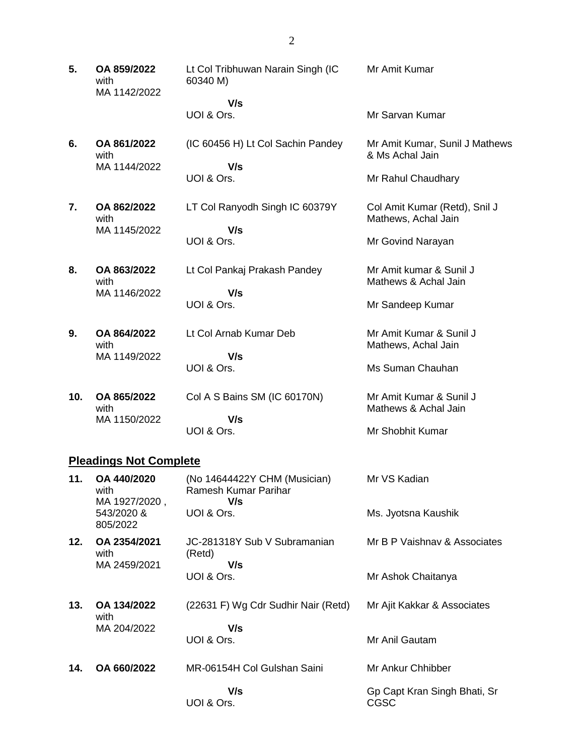**5. OA 859/2022** with MA 1142/2022 Lt Col Tribhuwan Narain Singh (IC 60340 M)  **V/s** Mr Amit Kumar

(IC 60456 H) Lt Col Sachin Pandey

UOI & Ors.

**6. OA 861/2022** with MA 1144/2022

 **V/s** UOI & Ors.

**7. OA 862/2022** with MA 1145/2022 LT Col Ranyodh Singh IC 60379Y  **V/s** UOI & Ors.

**8. OA 863/2022** with MA 1146/2022 Lt Col Pankaj Prakash Pandey  **V/s**

UOI & Ors.

**9. OA 864/2022** with MA 1149/2022 Lt Col Arnab Kumar Deb

 **V/s** UOI & Ors.

**10. OA 865/2022** with MA 1150/2022 Col A S Bains SM (IC 60170N)  **V/s** UOI & Ors. Mr Amit Kumar & Sunil J Mathews & Achal Jain Mr Shobhit Kumar

#### **Pleadings Not Complete**

| 11. | OA 440/2020<br>with<br>MA 1927/2020, | (No 14644422Y CHM (Musician)<br>Ramesh Kumar Parihar<br>V/s | Mr VS Kadian                         |
|-----|--------------------------------------|-------------------------------------------------------------|--------------------------------------|
|     | 543/2020 &<br>805/2022               | UOI & Ors.                                                  | Ms. Jyotsna Kaushik                  |
| 12. | OA 2354/2021<br>with                 | JC-281318Y Sub V Subramanian<br>(Retd)<br>V/s               | Mr B P Vaishnav & Associates         |
|     | MA 2459/2021                         | UOI & Ors.                                                  | Mr Ashok Chaitanya                   |
| 13. | OA 134/2022<br>with                  | (22631 F) Wg Cdr Sudhir Nair (Retd)                         | Mr Ajit Kakkar & Associates          |
|     | MA 204/2022                          | V/s<br>UOI & Ors.                                           | Mr Anil Gautam                       |
| 14. | OA 660/2022                          | MR-06154H Col Gulshan Saini                                 | Mr Ankur Chhibber                    |
|     |                                      | V/s<br>UOI & Ors.                                           | Gp Capt Kran Singh Bhati, Sr<br>CGSC |

#### Mr Sarvan Kumar

Mr Amit Kumar, Sunil J Mathews & Ms Achal Jain

Mr Rahul Chaudhary

Col Amit Kumar (Retd), Snil J Mathews, Achal Jain

Mr Govind Narayan

Mr Amit kumar & Sunil J Mathews & Achal Jain

Mr Sandeep Kumar

Mr Amit Kumar & Sunil J Mathews, Achal Jain

Ms Suman Chauhan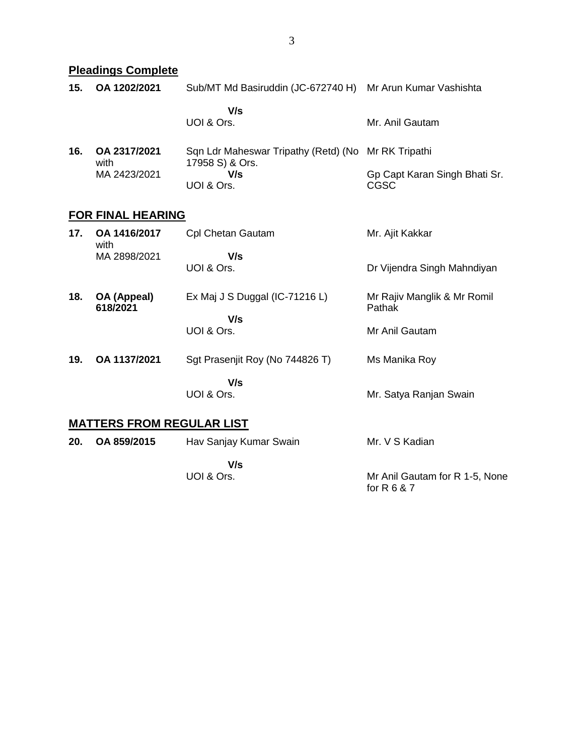# **Pleadings Complete**

| 15. | OA 1202/2021             | Sub/MT Md Basiruddin (JC-672740 H) Mr Arun Kumar Vashishta |                                              |  |
|-----|--------------------------|------------------------------------------------------------|----------------------------------------------|--|
|     |                          | V/s<br>UOI & Ors.                                          | Mr. Anil Gautam                              |  |
| 16. | OA 2317/2021<br>with     | Sqn Ldr Maheswar Tripathy (Retd) (No                       | Mr RK Tripathi                               |  |
|     | MA 2423/2021             | 17958 S) & Ors.<br>V/s<br>UOI & Ors.                       | Gp Capt Karan Singh Bhati Sr.<br><b>CGSC</b> |  |
|     | <b>FOR FINAL HEARING</b> |                                                            |                                              |  |
| 17. | OA 1416/2017<br>with     | Cpl Chetan Gautam                                          | Mr. Ajit Kakkar                              |  |
|     | MA 2898/2021             | V/s<br>UOI & Ors.                                          | Dr Vijendra Singh Mahndiyan                  |  |
| 18. | OA (Appeal)<br>618/2021  | Ex Maj J S Duggal (IC-71216 L)                             | Mr Rajiv Manglik & Mr Romil<br>Pathak        |  |
|     |                          | V/s<br>UOI & Ors.                                          | Mr Anil Gautam                               |  |
| 19. | OA 1137/2021             | Sgt Prasenjit Roy (No 744826 T)                            | Ms Manika Roy                                |  |
|     |                          | V/s<br>UOI & Ors.                                          | Mr. Satya Ranjan Swain                       |  |

# **MATTERS FROM REGULAR LIST**

| 20. | OA 859/2015 | Hav Sanjay Kumar Swain | Mr. V S Kadian                 |
|-----|-------------|------------------------|--------------------------------|
|     |             | V/s                    |                                |
|     |             | UOI & Ors.             | Mr Anil Gautam for R 1-5, None |
|     |             |                        | for R $6$ & $7$                |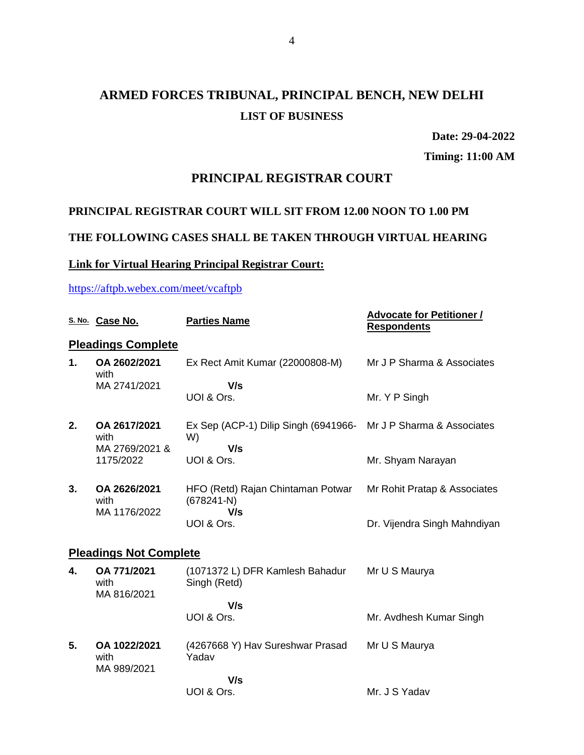# **ARMED FORCES TRIBUNAL, PRINCIPAL BENCH, NEW DELHI LIST OF BUSINESS**

**Date: 29-04-2022**

**Timing: 11:00 AM**

## **PRINCIPAL REGISTRAR COURT**

## **PRINCIPAL REGISTRAR COURT WILL SIT FROM 12.00 NOON TO 1.00 PM**

## **THE FOLLOWING CASES SHALL BE TAKEN THROUGH VIRTUAL HEARING**

## **Link for Virtual Hearing Principal Registrar Court:**

### <https://aftpb.webex.com/meet/vcaftpb>

|                               | S. No. Case No.                                     | <b>Parties Name</b>                                      | <b>Advocate for Petitioner /</b><br><b>Respondents</b> |
|-------------------------------|-----------------------------------------------------|----------------------------------------------------------|--------------------------------------------------------|
|                               | <b>Pleadings Complete</b>                           |                                                          |                                                        |
| 1.                            | OA 2602/2021<br>with                                | Ex Rect Amit Kumar (22000808-M)                          | Mr J P Sharma & Associates                             |
|                               | MA 2741/2021                                        | V/s<br>UOI & Ors.                                        | Mr. Y P Singh                                          |
| 2.                            | OA 2617/2021<br>with<br>MA 2769/2021 &<br>1175/2022 | Ex Sep (ACP-1) Dilip Singh (6941966-<br>W)               | Mr J P Sharma & Associates                             |
|                               |                                                     | V/s<br>UOI & Ors.                                        | Mr. Shyam Narayan                                      |
| 3.                            | OA 2626/2021<br>with                                | HFO (Retd) Rajan Chintaman Potwar<br>$(678241-N)$<br>V/s | Mr Rohit Pratap & Associates                           |
|                               | MA 1176/2022                                        | UOI & Ors.                                               | Dr. Vijendra Singh Mahndiyan                           |
| <b>Pleadings Not Complete</b> |                                                     |                                                          |                                                        |
| 4.                            | OA 771/2021<br>with<br>MA 816/2021                  | (1071372 L) DFR Kamlesh Bahadur<br>Singh (Retd)          | Mr U S Maurya                                          |
|                               |                                                     | V/s<br>UOI & Ors.                                        | Mr. Avdhesh Kumar Singh                                |
| 5.                            | OA 1022/2021<br>with<br>MA 989/2021                 | (4267668 Y) Hav Sureshwar Prasad<br>Yadav                | Mr U S Maurya                                          |
|                               |                                                     | V/s<br>UOI & Ors.                                        | Mr. J S Yadav                                          |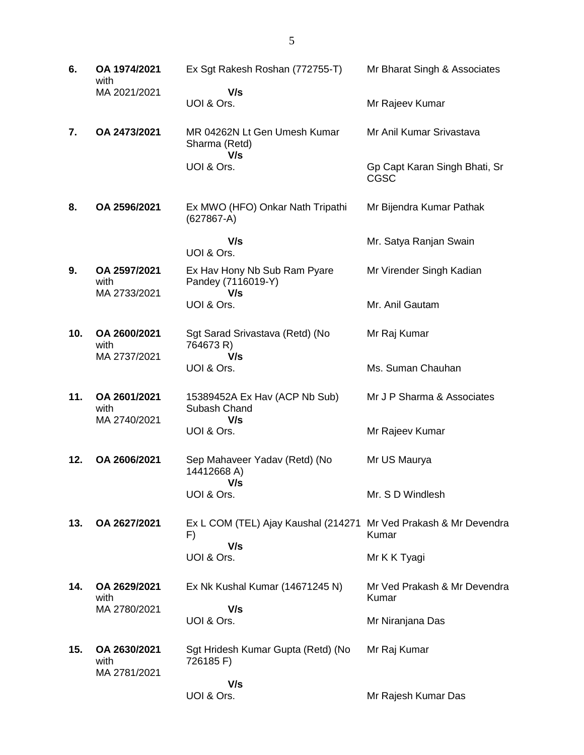| 6.  | OA 1974/2021<br>with                 | Ex Sgt Rakesh Roshan (772755-T)                                               | Mr Bharat Singh & Associates                 |
|-----|--------------------------------------|-------------------------------------------------------------------------------|----------------------------------------------|
|     | MA 2021/2021                         | V/s<br>UOI & Ors.                                                             | Mr Rajeev Kumar                              |
| 7.  | OA 2473/2021                         | MR 04262N Lt Gen Umesh Kumar<br>Sharma (Retd)                                 | Mr Anil Kumar Srivastava                     |
|     |                                      | V/s<br>UOI & Ors.                                                             | Gp Capt Karan Singh Bhati, Sr<br><b>CGSC</b> |
| 8.  | OA 2596/2021                         | Ex MWO (HFO) Onkar Nath Tripathi<br>$(627867-A)$                              | Mr Bijendra Kumar Pathak                     |
|     |                                      | V/s<br>UOI & Ors.                                                             | Mr. Satya Ranjan Swain                       |
| 9.  | OA 2597/2021<br>with                 | Ex Hav Hony Nb Sub Ram Pyare<br>Pandey (7116019-Y)<br>V/s                     | Mr Virender Singh Kadian                     |
|     | MA 2733/2021                         | UOI & Ors.                                                                    | Mr. Anil Gautam                              |
| 10. | OA 2600/2021<br>with                 | Sgt Sarad Srivastava (Retd) (No<br>764673 R)                                  | Mr Raj Kumar                                 |
|     | MA 2737/2021                         | V/s<br>UOI & Ors.                                                             | Ms. Suman Chauhan                            |
| 11. | OA 2601/2021<br>with                 | 15389452A Ex Hav (ACP Nb Sub)<br>Subash Chand                                 | Mr J P Sharma & Associates                   |
|     | MA 2740/2021                         | V/s<br>UOI & Ors.                                                             | Mr Rajeev Kumar                              |
| 12. | OA 2606/2021                         | Sep Mahaveer Yadav (Retd) (No<br>14412668 A)<br>V/s                           | Mr US Maurya                                 |
|     |                                      | UOI & Ors.                                                                    | Mr. S D Windlesh                             |
| 13. | OA 2627/2021                         | Ex L COM (TEL) Ajay Kaushal (214271 Mr Ved Prakash & Mr Devendra<br>F)<br>V/s | Kumar                                        |
|     |                                      | UOI & Ors.                                                                    | Mr K K Tyagi                                 |
| 14. | OA 2629/2021<br>with                 | Ex Nk Kushal Kumar (14671245 N)                                               | Mr Ved Prakash & Mr Devendra<br>Kumar        |
|     | MA 2780/2021                         | V/s<br>UOI & Ors.                                                             | Mr Niranjana Das                             |
| 15. | OA 2630/2021<br>with<br>MA 2781/2021 | Sgt Hridesh Kumar Gupta (Retd) (No<br>726185 F)                               | Mr Raj Kumar                                 |
|     |                                      | V/s<br>UOI & Ors.                                                             | Mr Rajesh Kumar Das                          |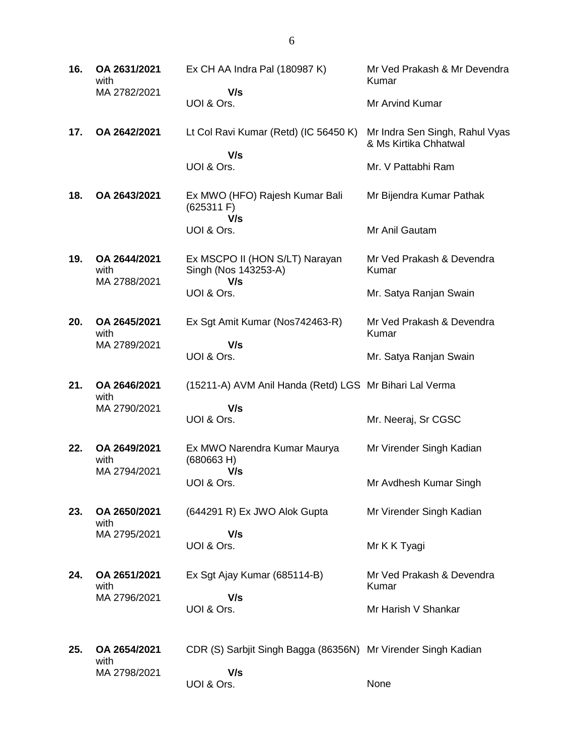| 16. | OA 2631/2021<br>with                 | Ex CH AA Indra Pal (180987 K)                                 | Mr Ved Prakash & Mr Devendra<br>Kumar                   |
|-----|--------------------------------------|---------------------------------------------------------------|---------------------------------------------------------|
|     | MA 2782/2021                         | V/s<br>UOI & Ors.                                             | Mr Arvind Kumar                                         |
| 17. | OA 2642/2021                         | Lt Col Ravi Kumar (Retd) (IC 56450 K)                         | Mr Indra Sen Singh, Rahul Vyas<br>& Ms Kirtika Chhatwal |
|     |                                      | V/s<br>UOI & Ors.                                             | Mr. V Pattabhi Ram                                      |
| 18. | OA 2643/2021                         | Ex MWO (HFO) Rajesh Kumar Bali<br>(625311)                    | Mr Bijendra Kumar Pathak                                |
|     |                                      | V/s<br>UOI & Ors.                                             | Mr Anil Gautam                                          |
| 19. | OA 2644/2021<br>with<br>MA 2788/2021 | Ex MSCPO II (HON S/LT) Narayan<br>Singh (Nos 143253-A)<br>V/s | Mr Ved Prakash & Devendra<br>Kumar                      |
|     |                                      | UOI & Ors.                                                    | Mr. Satya Ranjan Swain                                  |
| 20. | OA 2645/2021<br>with                 | Ex Sgt Amit Kumar (Nos742463-R)                               | Mr Ved Prakash & Devendra<br>Kumar                      |
|     | MA 2789/2021                         | V/s<br>UOI & Ors.                                             | Mr. Satya Ranjan Swain                                  |
| 21. | OA 2646/2021<br>with                 | (15211-A) AVM Anil Handa (Retd) LGS Mr Bihari Lal Verma       |                                                         |
|     | MA 2790/2021                         | V/s<br>UOI & Ors.                                             | Mr. Neeraj, Sr CGSC                                     |
| 22. | OA 2649/2021<br>with<br>MA 2794/2021 | Ex MWO Narendra Kumar Maurya<br>(680663 H)<br>V/s             | Mr Virender Singh Kadian                                |
|     |                                      | UOI & Ors.                                                    | Mr Avdhesh Kumar Singh                                  |
| 23. | OA 2650/2021<br>with                 | (644291 R) Ex JWO Alok Gupta                                  | Mr Virender Singh Kadian                                |
|     | MA 2795/2021                         | V/s<br>UOI & Ors.                                             | Mr K K Tyagi                                            |
| 24. | OA 2651/2021<br>with                 | Ex Sgt Ajay Kumar (685114-B)                                  | Mr Ved Prakash & Devendra<br>Kumar                      |
|     | MA 2796/2021                         | V/s<br>UOI & Ors.                                             | Mr Harish V Shankar                                     |
| 25. | OA 2654/2021<br>with                 | CDR (S) Sarbjit Singh Bagga (86356N) Mr Virender Singh Kadian |                                                         |
|     | MA 2798/2021                         | V/s<br>UOI & Ors.                                             | None                                                    |